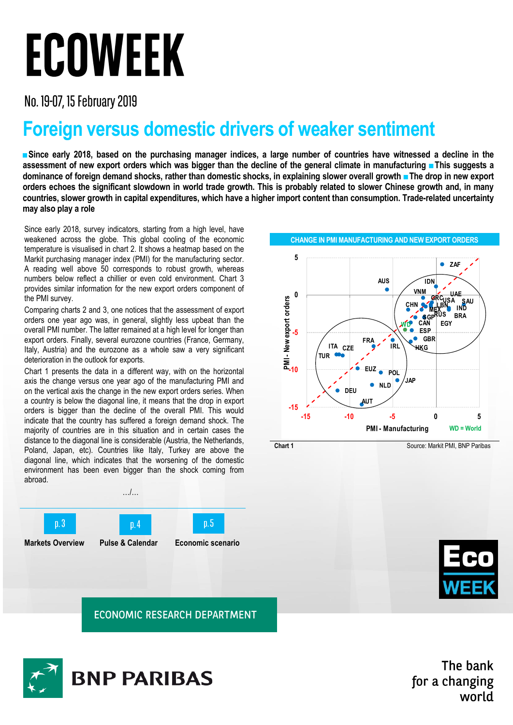## ECOWEEK

No. 19-07, 15 February 2019

## **Foreign versus domestic drivers of weaker sentiment**

**■Since early 2018, based on the purchasing manager indices, a large number of countries have witnessed a decline in the assessment of new export orders which was bigger than the decline of the general climate in manufacturing ■This suggests a dominance of foreign demand shocks, rather than domestic shocks, in explaining slower overall growth ■The drop in new export orders echoes the significant slowdown in world trade growth. This is probably related to slower Chinese growth and, in many countries, slower growth in capital expenditures, which have a higher import content than consumption. Trade-related uncertainty may also play a role**

Since early 2018, survey indicators, starting from a high level, have weakened across the globe. This global cooling of the economic temperature is visualised in chart 2. It shows a heatmap based on the Markit purchasing manager index (PMI) for the manufacturing sector. A reading well above 50 corresponds to robust growth, whereas numbers below reflect a chillier or even cold environment. Chart 3 provides similar information for the new export orders component of the PMI survey.

Comparing charts 2 and 3, one notices that the assessment of export orders one year ago was, in general, slightly less upbeat than the overall PMI number. The latter remained at a high level for longer than export orders. Finally, several eurozone countries (France, Germany, Italy, Austria) and the eurozone as a whole saw a very significant deterioration in the outlook for exports.

Chart 1 presents the data in a different way, with on the horizontal axis the change versus one year ago of the manufacturing PMI and on the vertical axis the change in the new export orders series. When a country is below the diagonal line, it means that the drop in export orders is bigger than the decline of the overall PMI. This would indicate that the country has suffered a foreign demand shock. The majority of countries are in this situation and in certain cases the distance to the diagonal line is considerable (Austria, the Netherlands, Poland, Japan, etc). Countries like Italy, Turkey are above the diagonal line, which indicates that the worsening of the domestic environment has been even bigger than the shock coming from abroad.





**ECONOMIC RESEARCH DEPARTMENT** 



The bank for a changing world



**CHANGE IN PMI MANUFACTURING AND NEW EXPORT ORDERS**

**Chart 1 Source: Markit PMI, BNP Paribas**